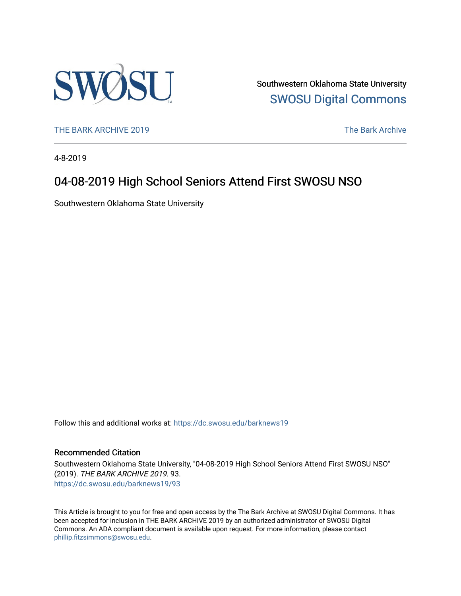

Southwestern Oklahoma State University [SWOSU Digital Commons](https://dc.swosu.edu/) 

[THE BARK ARCHIVE 2019](https://dc.swosu.edu/barknews19) The Bark Archive

4-8-2019

### 04-08-2019 High School Seniors Attend First SWOSU NSO

Southwestern Oklahoma State University

Follow this and additional works at: [https://dc.swosu.edu/barknews19](https://dc.swosu.edu/barknews19?utm_source=dc.swosu.edu%2Fbarknews19%2F93&utm_medium=PDF&utm_campaign=PDFCoverPages)

#### Recommended Citation

Southwestern Oklahoma State University, "04-08-2019 High School Seniors Attend First SWOSU NSO" (2019). THE BARK ARCHIVE 2019. 93. [https://dc.swosu.edu/barknews19/93](https://dc.swosu.edu/barknews19/93?utm_source=dc.swosu.edu%2Fbarknews19%2F93&utm_medium=PDF&utm_campaign=PDFCoverPages) 

This Article is brought to you for free and open access by the The Bark Archive at SWOSU Digital Commons. It has been accepted for inclusion in THE BARK ARCHIVE 2019 by an authorized administrator of SWOSU Digital Commons. An ADA compliant document is available upon request. For more information, please contact [phillip.fitzsimmons@swosu.edu](mailto:phillip.fitzsimmons@swosu.edu).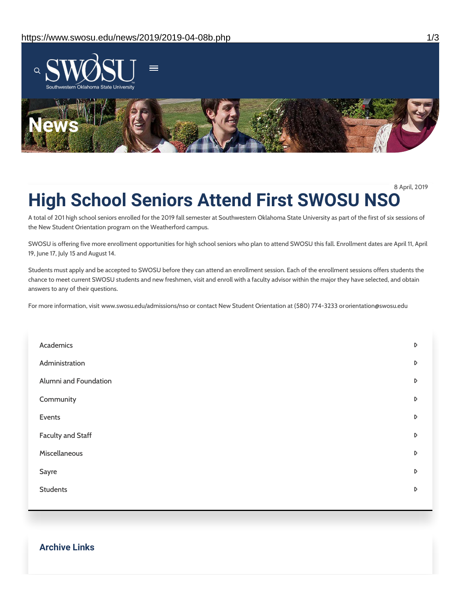

8 April, 2019

## **High School Seniors Attend First SWOSU NSO**

A total of 201 high school seniors enrolled for the 2019 fall semester at Southwestern Oklahoma State University as part of the first of six sessions of the New Student Orientation program on the Weatherford campus.

SWOSU is offering five more enrollment opportunities for high school seniors who plan to attend SWOSU this fall. Enrollment dates are April 11, April 19, June 17, July 15 and August 14.

Students must apply and be accepted to SWOSU before they can attend an enrollment session. Each of the enrollment sessions offers students the chance to meet current SWOSU students and new freshmen, visit and enroll with a faculty advisor within the major they have selected, and obtain answers to any of their questions.

For more information, visit www.swosu.edu/admissions/nso or contact New Student Orientation at (580) 774-3233 ororientation@swosu.edu

| Academics             | D |
|-----------------------|---|
| Administration        | D |
| Alumni and Foundation | D |
| Community             | D |
| Events                | D |
| Faculty and Staff     | D |
| Miscellaneous         | D |
| Sayre                 | D |
| <b>Students</b>       | D |
|                       |   |

**Archive Links**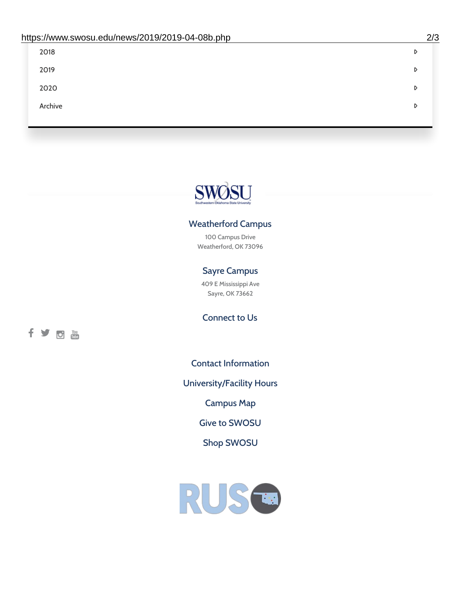| 2018    | D |
|---------|---|
| 2019    | D |
| 2020    | D |
| Archive | D |
|         |   |

# SWØSU

### Weatherford Campus

100 Campus Drive Weatherford, OK 73096

### Sayre Campus

409 E Mississippi Ave Sayre, OK 73662

fyom

Connect to Us

Contact [Information](https://www.swosu.edu/about/contact.php)

[University/Facility](https://www.swosu.edu/about/operating-hours.php) Hours

[Campus](https://map.concept3d.com/?id=768#!ct/10964,10214,10213,10212,10205,10204,10203,10202,10136,10129,10128,0,31226,10130,10201,10641,0) Map

Give to [SWOSU](https://standingfirmly.com/donate)

Shop [SWOSU](https://shopswosu.merchorders.com/)